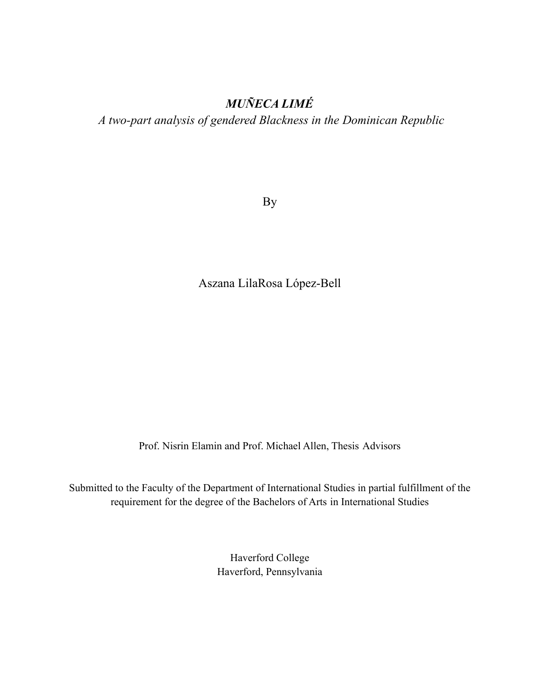## *MUÑECA LIMÉ*

*A two-part analysis of gendered Blackness in the Dominican Republic*

By

Aszana LilaRosa López-Bell

Prof. Nisrin Elamin and Prof. Michael Allen, Thesis Advisors

Submitted to the Faculty of the Department of International Studies in partial fulfillment of the requirement for the degree of the Bachelors of Arts in International Studies

> Haverford College Haverford, Pennsylvania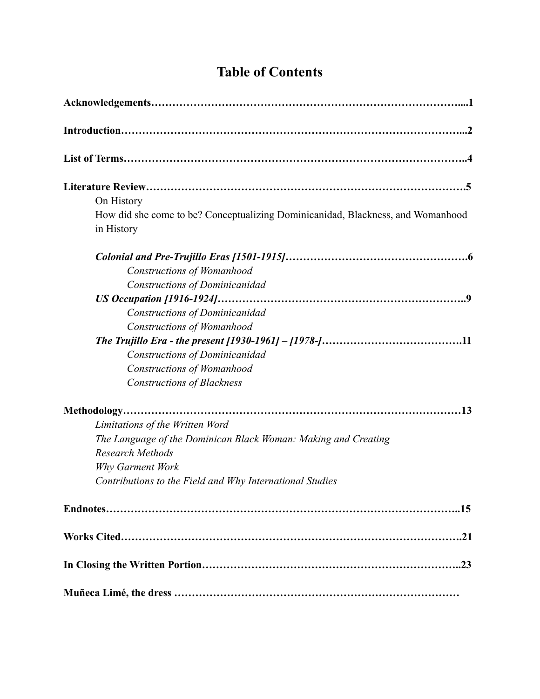| <b>Table of Contents</b> |  |
|--------------------------|--|
|--------------------------|--|

| On History                                                                                        |
|---------------------------------------------------------------------------------------------------|
| How did she come to be? Conceptualizing Dominicanidad, Blackness, and Womanhood<br>in History     |
| <b>Constructions of Womanhood</b>                                                                 |
| Constructions of Dominicanidad<br>Constructions of Dominicanidad                                  |
| Constructions of Womanhood                                                                        |
| Constructions of Dominicanidad<br>Constructions of Womanhood<br><b>Constructions of Blackness</b> |
|                                                                                                   |
| Limitations of the Written Word                                                                   |
| The Language of the Dominican Black Woman: Making and Creating                                    |
| <b>Research Methods</b>                                                                           |
| Why Garment Work                                                                                  |
| Contributions to the Field and Why International Studies                                          |
|                                                                                                   |
|                                                                                                   |
|                                                                                                   |
|                                                                                                   |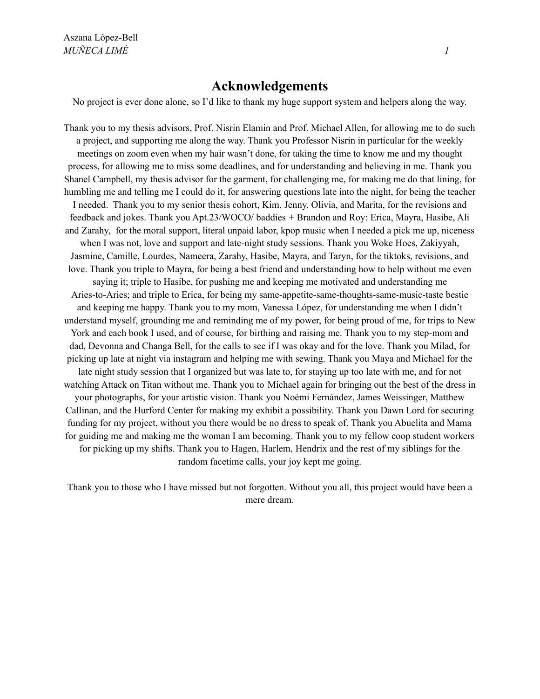### **Acknowledgements**

No project is ever done alone, so I'd like to thank my huge support system and helpers along the way.

Thank you to my thesis advisors, Prof. Nisrin Elamin and Prof. Michael Allen, for allowing me to do such a project, and supporting me along the way. Thank you Professor Nisrin in particular for the weekly meetings on zoom even when my hair wasn't done, for taking the time to know me and my thought process, for allowing me to miss some deadlines, and for understanding and believing in me. Thank you Shanel Campbell, my thesis advisor for the garment, for challenging me, for making me do that lining, for humbling me and telling me I could do it, for answering questions late into the night, for being the teacher I needed. Thank you to my senior thesis cohort, Kim, Jenny, Olivia, and Marita, for the revisions and feedback and jokes. Thank you Apt.23/WOCO/ baddies + Brandon and Roy: Erica, Mayra, Hasibe, Ali and Zarahy, for the moral support, literal unpaid labor, kpop music when I needed a pick me up, niceness when I was not, love and support and late-night study sessions. Thank you Woke Hoes, Zakiyyah, Jasmine, Camille, Lourdes, Nameera, Zarahy, Hasibe, Mayra, and Taryn, for the tiktoks, revisions, and love. Thank you triple to Mayra, for being a best friend and understanding how to help without me even saying it; triple to Hasibe, for pushing me and keeping me motivated and understanding me Aries-to-Aries; and triple to Erica, for being my same-appetite-same-thoughts-same-music-taste bestie and keeping me happy. Thank you to my mom, Vanessa López, for understanding me when I didn't understand myself, grounding me and reminding me of my power, for being proud of me, for trips to New York and each book I used, and of course, for birthing and raising me. Thank you to my step-mom and dad, Devonna and Changa Bell, for the calls to see if I was okay and for the love. Thank you Milad, for picking up late at night via instagram and helping me with sewing. Thank you Maya and Michael for the late night study session that I organized but was late to, for staying up too late with me, and for not watching Attack on Titan without me. Thank you to Michael again for bringing out the best of the dress in your photographs, for your artistic vision. Thank you Noémi Fernández, James Weissinger, Matthew Callinan, and the Hurford Center for making my exhibit a possibility. Thank you Dawn Lord for securing funding for my project, without you there would be no dress to speak of. Thank you Abuelita and Mama for guiding me and making me the woman I am becoming. Thank you to my fellow coop student workers for picking up my shifts. Thank you to Hagen, Harlem, Hendrix and the rest of my siblings for the random facetime calls, your joy kept me going.

Thank you to those who I have missed but not forgotten. Without you all, this project would have been a mere dream.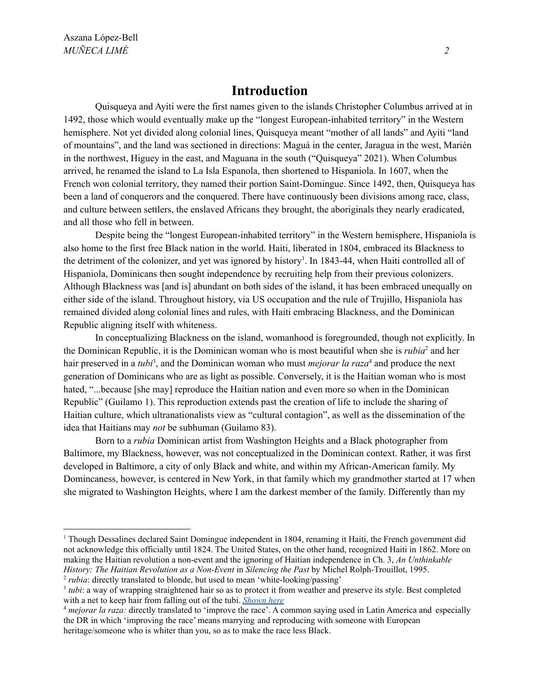### **Introduction**

Quisqueya and Ayiti were the first names given to the islands Christopher Columbus arrived at in 1492, those which would eventually make up the "longest European-inhabited territory" in the Western hemisphere. Not yet divided along colonial lines, Quisqueya meant "mother of all lands" and Ayiti "land of mountains", and the land was sectioned in directions: Maguá in the center, Jaragua in the west, Marién in the northwest, Higuey in the east, and Maguana in the south ("Quisqueya" 2021). When Columbus arrived, he renamed the island to La Isla Espanola, then shortened to Hispaniola. In 1607, when the French won colonial territory, they named their portion Saint-Domingue. Since 1492, then, Quisqueya has been a land of conquerors and the conquered. There have continuously been divisions among race, class, and culture between settlers, the enslaved Africans they brought, the aboriginals they nearly eradicated, and all those who fell in between.

Despite being the "longest European-inhabited territory" in the Western hemisphere, Hispaniola is also home to the first free Black nation in the world. Haiti, liberated in 1804, embraced its Blackness to the detriment of the colonizer, and yet was ignored by history<sup>1</sup>. In 1843-44, when Haiti controlled all of Hispaniola, Dominicans then sought independence by recruiting help from their previous colonizers. Although Blackness was [and is] abundant on both sides of the island, it has been embraced unequally on either side of the island. Throughout history, via US occupation and the rule of Trujillo, Hispaniola has remained divided along colonial lines and rules, with Haiti embracing Blackness, and the Dominican Republic aligning itself with whiteness.

In conceptualizing Blackness on the island, womanhood is foregrounded, though not explicitly. In the Dominican Republic, it is the Dominican woman who is most beautiful when she is *rubia* <sup>2</sup> and her hair preserved in a *tubi* 3 , and the Dominican woman who must *mejorar la raza* <sup>4</sup> and produce the next generation of Dominicans who are as light as possible. Conversely, it is the Haitian woman who is most hated, "...because [she may] reproduce the Haitian nation and even more so when in the Dominican Republic" (Guilamo 1). This reproduction extends past the creation of life to include the sharing of Haitian culture, which ultranationalists view as "cultural contagion", as well as the dissemination of the idea that Haitians may *not* be subhuman (Guilamo 83).

Born to a *rubia* Dominican artist from Washington Heights and a Black photographer from Baltimore, my Blackness, however, was not conceptualized in the Dominican context. Rather, it was first developed in Baltimore, a city of only Black and white, and within my African-American family. My Domincaness, however, is centered in New York, in that family which my grandmother started at 17 when she migrated to Washington Heights, where I am the darkest member of the family. Differently than my

<sup>2</sup> *rubia*: directly translated to blonde, but used to mean 'white-looking/passing' <sup>1</sup> Though Dessalines declared Saint Domingue independent in 1804, renaming it Haiti, the French government did not acknowledge this officially until 1824. The United States, on the other hand, recognized Haiti in 1862. More on making the Haitian revolution a non-event and the ignoring of Haitian independence in Ch. 3, *An Unthinkable History: The Haitian Revolution as a Non-Event* in *Silencing the Past* by Michel Rolph-Trouillot, 1995.

<sup>&</sup>lt;sup>3</sup> tubi: a way of wrapping straightened hair so as to protect it from weather and preserve its style. Best completed with a net to keep hair from falling out of the tubi. *[Shown](http://mydominicanjourney.blogspot.com/2012/06/dominican-salons-el-santuario-de-las.html) here*

<sup>4</sup> *mejorar la raza:* directly translated to 'improve the race'. A common saying used in Latin America and especially the DR in which 'improving the race' means marrying and reproducing with someone with European heritage/someone who is whiter than you, so as to make the race less Black.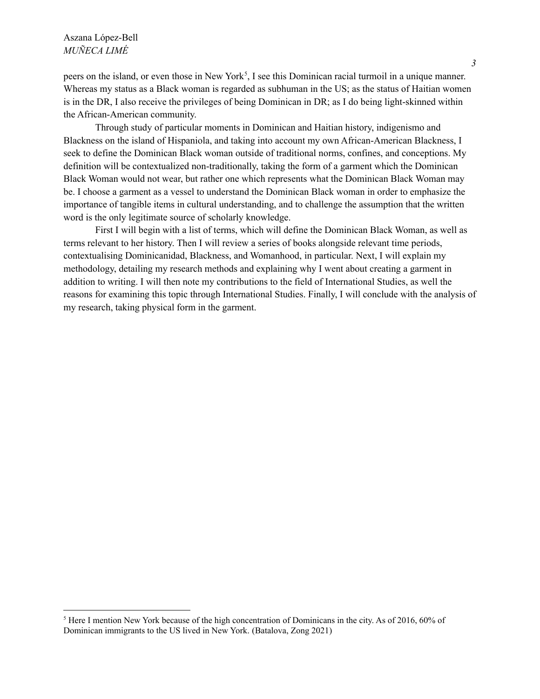#### Aszana López-Bell *MUÑECA LIMÉ*

peers on the island, or even those in New York<sup>5</sup>, I see this Dominican racial turmoil in a unique manner. Whereas my status as a Black woman is regarded as subhuman in the US; as the status of Haitian women is in the DR, I also receive the privileges of being Dominican in DR; as I do being light-skinned within the African-American community.

Through study of particular moments in Dominican and Haitian history, indigenismo and Blackness on the island of Hispaniola, and taking into account my own African-American Blackness, I seek to define the Dominican Black woman outside of traditional norms, confines, and conceptions. My definition will be contextualized non-traditionally, taking the form of a garment which the Dominican Black Woman would not wear, but rather one which represents what the Dominican Black Woman may be. I choose a garment as a vessel to understand the Dominican Black woman in order to emphasize the importance of tangible items in cultural understanding, and to challenge the assumption that the written word is the only legitimate source of scholarly knowledge.

First I will begin with a list of terms, which will define the Dominican Black Woman, as well as terms relevant to her history. Then I will review a series of books alongside relevant time periods, contextualising Dominicanidad, Blackness, and Womanhood, in particular. Next, I will explain my methodology, detailing my research methods and explaining why I went about creating a garment in addition to writing. I will then note my contributions to the field of International Studies, as well the reasons for examining this topic through International Studies. Finally, I will conclude with the analysis of my research, taking physical form in the garment.

<sup>&</sup>lt;sup>5</sup> Here I mention New York because of the high concentration of Dominicans in the city. As of 2016, 60% of Dominican immigrants to the US lived in New York. (Batalova, Zong 2021)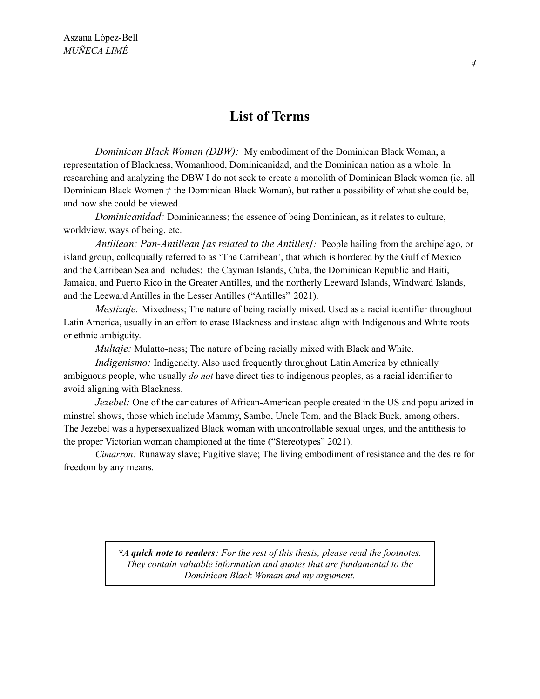### **List of Terms**

*Dominican Black Woman (DBW):* My embodiment of the Dominican Black Woman, a representation of Blackness, Womanhood, Dominicanidad, and the Dominican nation as a whole. In researching and analyzing the DBW I do not seek to create a monolith of Dominican Black women (ie. all Dominican Black Women  $\neq$  the Dominican Black Woman), but rather a possibility of what she could be, and how she could be viewed.

*Dominicanidad:* Dominicanness; the essence of being Dominican, as it relates to culture, worldview, ways of being, etc.

*Antillean; Pan-Antillean [as related to the Antilles]:* People hailing from the archipelago, or island group, colloquially referred to as 'The Carribean', that which is bordered by the Gulf of Mexico and the Carribean Sea and includes: the Cayman Islands, Cuba, the Dominican Republic and Haiti, Jamaica, and Puerto Rico in the Greater Antilles, and the northerly Leeward Islands, Windward Islands, and the Leeward Antilles in the Lesser Antilles ("Antilles" 2021).

*Mestizaje:* Mixedness; The nature of being racially mixed. Used as a racial identifier throughout Latin America, usually in an effort to erase Blackness and instead align with Indigenous and White roots or ethnic ambiguity.

*Multaje:* Mulatto-ness; The nature of being racially mixed with Black and White.

*Indigenismo:* Indigeneity. Also used frequently throughout Latin America by ethnically ambiguous people, who usually *do not* have direct ties to indigenous peoples, as a racial identifier to avoid aligning with Blackness.

*Jezebel:* One of the caricatures of African-American people created in the US and popularized in minstrel shows, those which include Mammy, Sambo, Uncle Tom, and the Black Buck, among others. The Jezebel was a hypersexualized Black woman with uncontrollable sexual urges, and the antithesis to the proper Victorian woman championed at the time ("Stereotypes" 2021).

*Cimarron:* Runaway slave; Fugitive slave; The living embodiment of resistance and the desire for freedom by any means.

> *\*A quick note to readers: For the rest of this thesis, please read the footnotes. They contain valuable information and quotes that are fundamental to the Dominican Black Woman and my argument.*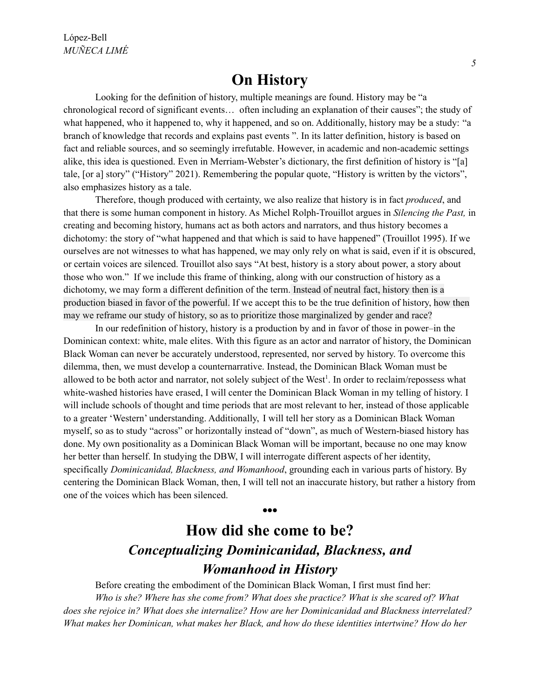## **On History**

Looking for the definition of history, multiple meanings are found. History may be "a chronological record of significant events… often including an explanation of their causes"; the study of what happened, who it happened to, why it happened, and so on. Additionally, history may be a study: "a branch of knowledge that records and explains past events ". In its latter definition, history is based on fact and reliable sources, and so seemingly irrefutable. However, in academic and non-academic settings alike, this idea is questioned. Even in Merriam-Webster's dictionary, the first definition of history is "[a] tale, [or a] story" ("History" 2021). Remembering the popular quote, "History is written by the victors", also emphasizes history as a tale.

Therefore, though produced with certainty, we also realize that history is in fact *produced*, and that there is some human component in history. As Michel Rolph-Trouillot argues in *Silencing the Past,* in creating and becoming history, humans act as both actors and narrators, and thus history becomes a dichotomy: the story of "what happened and that which is said to have happened" (Trouillot 1995). If we ourselves are not witnesses to what has happened, we may only rely on what is said, even if it is obscured, or certain voices are silenced. Trouillot also says "At best, history is a story about power, a story about those who won." If we include this frame of thinking, along with our construction of history as a dichotomy, we may form a different definition of the term. Instead of neutral fact, history then is a production biased in favor of the powerful. If we accept this to be the true definition of history, how then may we reframe our study of history, so as to prioritize those marginalized by gender and race?

In our redefinition of history, history is a production by and in favor of those in power–in the Dominican context: white, male elites. With this figure as an actor and narrator of history, the Dominican Black Woman can never be accurately understood, represented, nor served by history. To overcome this dilemma, then, we must develop a counternarrative. Instead, the Dominican Black Woman must be allowed to be both actor and narrator, not solely subject of the West<sup>1</sup>. In order to reclaim/repossess what white-washed histories have erased, I will center the Dominican Black Woman in my telling of history. I will include schools of thought and time periods that are most relevant to her, instead of those applicable to a greater 'Western' understanding. Additionally, I will tell her story as a Dominican Black Woman myself, so as to study "across" or horizontally instead of "down", as much of Western-biased history has done. My own positionality as a Dominican Black Woman will be important, because no one may know her better than herself. In studying the DBW, I will interrogate different aspects of her identity, specifically *Dominicanidad, Blackness, and Womanhood*, grounding each in various parts of history. By centering the Dominican Black Woman, then, I will tell not an inaccurate history, but rather a history from one of the voices which has been silenced.

# **How did she come to be?** *Conceptualizing Dominicanidad, Blackness, and Womanhood in History*

*•••*

Before creating the embodiment of the Dominican Black Woman, I first must find her: *Who is she? Where has she come from? What does she practice? What is she scared of? What does she rejoice in? What does she internalize? How are her Dominicanidad and Blackness interrelated? What makes her Dominican, what makes her Black, and how do these identities intertwine? How do her*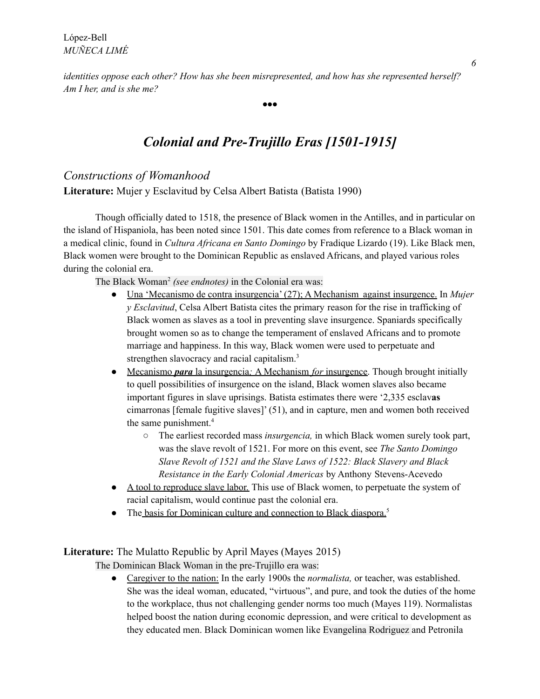*identities oppose each other? How has she been misrepresented, and how has she represented herself? Am I her, and is she me?*

## *Colonial and Pre-Trujillo Eras [1501-1915]*

*•••*

### *Constructions of Womanhood*

**Literature:** Mujer y Esclavitud by Celsa Albert Batista (Batista 1990)

Though officially dated to 1518, the presence of Black women in the Antilles, and in particular on the island of Hispaniola, has been noted since 1501. This date comes from reference to a Black woman in a medical clinic, found in *Cultura Africana en Santo Domingo* by Fradique Lizardo (19). Like Black men, Black women were brought to the Dominican Republic as enslaved Africans, and played various roles during the colonial era.

The Black Woman 2 *(see endnotes)* in the Colonial era was:

- Una 'Mecanismo de contra insurgencia' (27); A Mechanism against insurgence. In *Mujer y Esclavitud*, Celsa Albert Batista cites the primary reason for the rise in trafficking of Black women as slaves as a tool in preventing slave insurgence. Spaniards specifically brought women so as to change the temperament of enslaved Africans and to promote marriage and happiness. In this way, Black women were used to perpetuate and strengthen slavocracy and racial capitalism.<sup>3</sup>
- Mecanismo *para* la insurgencia*;* A Mechanism *for* insurgence. Though brought initially to quell possibilities of insurgence on the island, Black women slaves also became important figures in slave uprisings. Batista estimates there were '2,335 esclav**as** cimarronas [female fugitive slaves]' (51), and in capture, men and women both received the same punishment. 4
	- The earliest recorded mass *insurgencia,* in which Black women surely took part, was the slave revolt of 1521. For more on this event, see *The Santo Domingo Slave Revolt of 1521 and the Slave Laws of 1522: Black Slavery and Black Resistance in the Early Colonial Americas* by Anthony Stevens-Acevedo
- A tool to reproduce slave labor. This use of Black women, to perpetuate the system of racial capitalism, would continue past the colonial era.
- The basis for Dominican culture and connection to Black diaspora.<sup>5</sup>

**Literature:** The Mulatto Republic by April Mayes (Mayes 2015)

The Dominican Black Woman in the pre-Trujillo era was:

● Caregiver to the nation: In the early 1900s the *normalista,* or teacher, was established. She was the ideal woman, educated, "virtuous", and pure, and took the duties of the home to the workplace, thus not challenging gender norms too much (Mayes 119). Normalistas helped boost the nation during economic depression, and were critical to development as they educated men. Black Dominican women like Evangelina Rodriguez and Petronila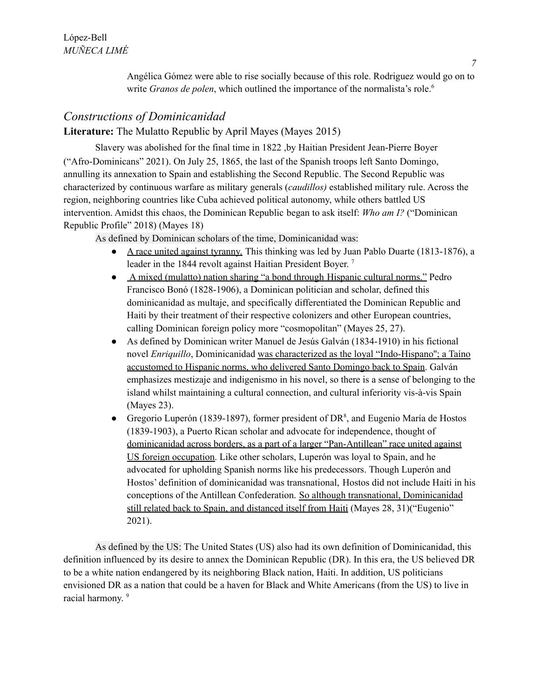Angélica Gómez were able to rise socially because of this role. Rodriguez would go on to write *Granos de polen*, which outlined the importance of the normalista's role. 6

### *Constructions of Dominicanidad*

**Literature:** The Mulatto Republic by April Mayes (Mayes 2015)

Slavery was abolished for the final time in 1822 ,by Haitian President Jean-Pierre Boyer ("Afro-Dominicans" 2021). On July 25, 1865, the last of the Spanish troops left Santo Domingo, annulling its annexation to Spain and establishing the Second Republic. The Second Republic was characterized by continuous warfare as military generals (*caudillos)* established military rule. Across the region, neighboring countries like Cuba achieved political autonomy, while others battled US intervention. Amidst this chaos, the Dominican Republic began to ask itself: *Who am I?* ("Dominican Republic Profile" 2018) (Mayes 18)

As defined by Dominican scholars of the time, Dominicanidad was:

- A race united against tyranny. This thinking was led by Juan Pablo Duarte (1813-1876), a leader in the 1844 revolt against Haitian President Boyer.<sup>7</sup>
- A mixed (mulatto) nation sharing "a bond through Hispanic cultural norms." Pedro Francisco Bonó (1828-1906), a Dominican politician and scholar, defined this dominicanidad as multaje, and specifically differentiated the Dominican Republic and Haiti by their treatment of their respective colonizers and other European countries, calling Dominican foreign policy more "cosmopolitan" (Mayes 25, 27).
- As defined by Dominican writer Manuel de Jesús Galván (1834-1910) in his fictional novel *Enriquillo*, Dominicanidad was characterized as the loyal "Indo-Hispano''; a Taíno accustomed to Hispanic norms, who delivered Santo Domingo back to Spain. Galván emphasizes mestizaje and indigenismo in his novel, so there is a sense of belonging to the island whilst maintaining a cultural connection, and cultural inferiority vis-à-vis Spain (Mayes 23).
- Gregorio Luperón (1839-1897), former president of  $DR<sup>8</sup>$ , and Eugenio María de Hostos (1839-1903), a Puerto Rican scholar and advocate for independence, thought of dominicanidad across borders, as a part of a larger "Pan-Antillean" race united against US foreign occupation. Like other scholars, Luperón was loyal to Spain, and he advocated for upholding Spanish norms like his predecessors. Though Luperón and Hostos' definition of dominicanidad was transnational, Hostos did not include Haiti in his conceptions of the Antillean Confederation. So although transnational, Dominicanidad still related back to Spain, and distanced itself from Haiti (Mayes 28, 31)("Eugenio" 2021).

As defined by the US: The United States (US) also had its own definition of Dominicanidad, this definition influenced by its desire to annex the Dominican Republic (DR). In this era, the US believed DR to be a white nation endangered by its neighboring Black nation, Haiti. In addition, US politicians envisioned DR as a nation that could be a haven for Black and White Americans (from the US) to live in racial harmony.<sup>9</sup>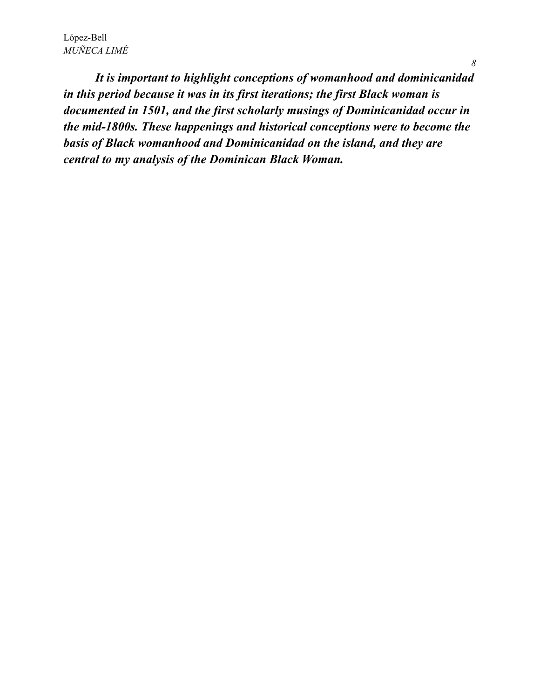*It is important to highlight conceptions of womanhood and dominicanidad in this period because it was in its first iterations; the first Black woman is documented in 1501, and the first scholarly musings of Dominicanidad occur in the mid-1800s. These happenings and historical conceptions were to become the basis of Black womanhood and Dominicanidad on the island, and they are central to my analysis of the Dominican Black Woman.*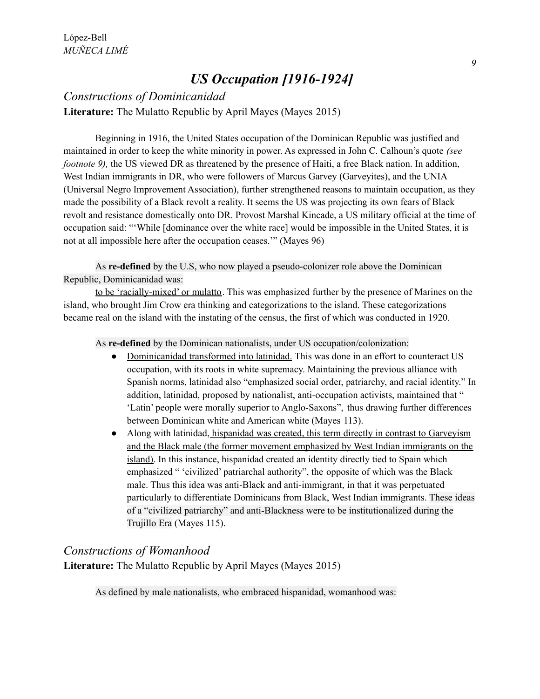## *US Occupation [1916-1924]*

### *Constructions of Dominicanidad* **Literature:** The Mulatto Republic by April Mayes (Mayes 2015)

Beginning in 1916, the United States occupation of the Dominican Republic was justified and maintained in order to keep the white minority in power. As expressed in John C. Calhoun's quote *(see footnote* 9), the US viewed DR as threatened by the presence of Haiti, a free Black nation. In addition, West Indian immigrants in DR, who were followers of Marcus Garvey (Garveyites), and the UNIA (Universal Negro Improvement Association), further strengthened reasons to maintain occupation, as they made the possibility of a Black revolt a reality. It seems the US was projecting its own fears of Black revolt and resistance domestically onto DR. Provost Marshal Kincade, a US military official at the time of occupation said: "'While [dominance over the white race] would be impossible in the United States, it is not at all impossible here after the occupation ceases.'" (Mayes 96)

As **re-defined** by the U.S, who now played a pseudo-colonizer role above the Dominican Republic, Dominicanidad was:

to be 'racially-mixed' or mulatto. This was emphasized further by the presence of Marines on the island, who brought Jim Crow era thinking and categorizations to the island. These categorizations became real on the island with the instating of the census, the first of which was conducted in 1920.

As **re-defined** by the Dominican nationalists, under US occupation/colonization:

- Dominicanidad transformed into latinidad. This was done in an effort to counteract US occupation, with its roots in white supremacy. Maintaining the previous alliance with Spanish norms, latinidad also "emphasized social order, patriarchy, and racial identity." In addition, latinidad, proposed by nationalist, anti-occupation activists, maintained that " 'Latin' people were morally superior to Anglo-Saxons", thus drawing further differences between Dominican white and American white (Mayes 113).
- Along with latinidad, hispanidad was created, this term directly in contrast to Garveyism and the Black male (the former movement emphasized by West Indian immigrants on the island). In this instance, hispanidad created an identity directly tied to Spain which emphasized " 'civilized' patriarchal authority", the opposite of which was the Black male. Thus this idea was anti-Black and anti-immigrant, in that it was perpetuated particularly to differentiate Dominicans from Black, West Indian immigrants. These ideas of a "civilized patriarchy" and anti-Blackness were to be institutionalized during the Trujillo Era (Mayes 115).

### *Constructions of Womanhood*

**Literature:** The Mulatto Republic by April Mayes (Mayes 2015)

As defined by male nationalists, who embraced hispanidad, womanhood was: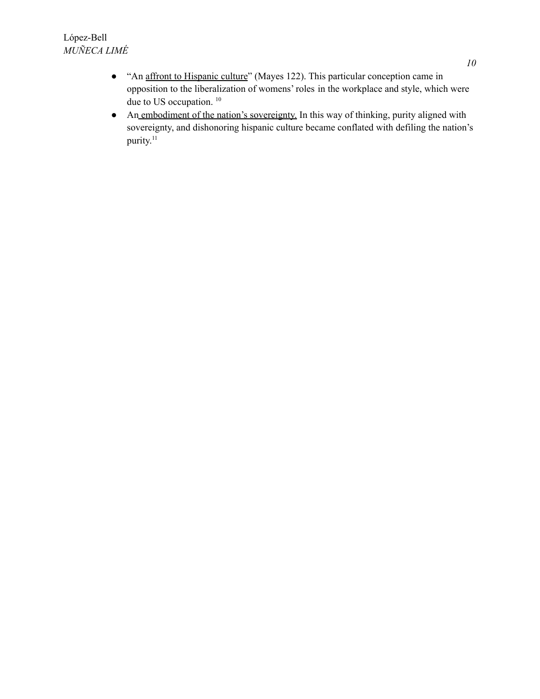- "An affront to Hispanic culture" (Mayes 122). This particular conception came in opposition to the liberalization of womens' roles in the workplace and style, which were due to US occupation. 10
- An embodiment of the nation's sovereignty. In this way of thinking, purity aligned with sovereignty, and dishonoring hispanic culture became conflated with defiling the nation's purity.<sup>11</sup>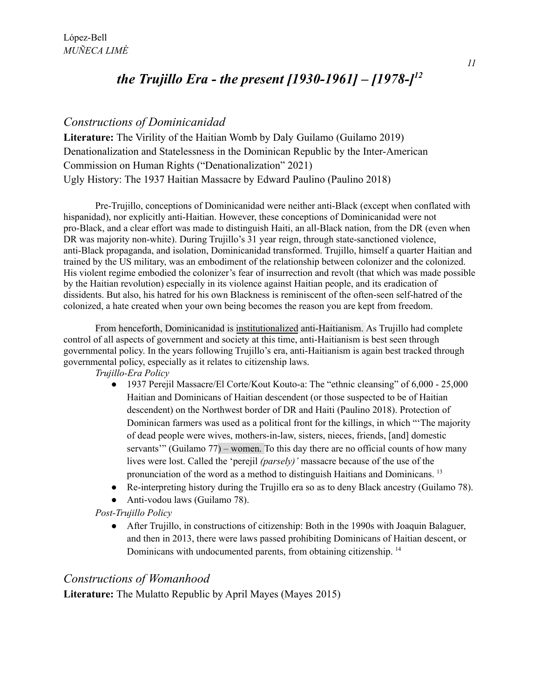## *the Trujillo Era - the present [1930-1961] – [1978-] 12*

### *Constructions of Dominicanidad*

**Literature:** The Virility of the Haitian Womb by Daly Guilamo (Guilamo 2019) Denationalization and Statelessness in the Dominican Republic by the Inter-American Commission on Human Rights ("Denationalization" 2021) Ugly History: The 1937 Haitian Massacre by Edward Paulino (Paulino 2018)

Pre-Trujillo, conceptions of Dominicanidad were neither anti-Black (except when conflated with hispanidad), nor explicitly anti-Haitian. However, these conceptions of Dominicanidad were not pro-Black, and a clear effort was made to distinguish Haiti, an all-Black nation, from the DR (even when DR was majority non-white). During Trujillo's 31 year reign, through state-sanctioned violence, anti-Black propaganda, and isolation, Dominicanidad transformed. Trujillo, himself a quarter Haitian and trained by the US military, was an embodiment of the relationship between colonizer and the colonized. His violent regime embodied the colonizer's fear of insurrection and revolt (that which was made possible by the Haitian revolution) especially in its violence against Haitian people, and its eradication of dissidents. But also, his hatred for his own Blackness is reminiscent of the often-seen self-hatred of the colonized, a hate created when your own being becomes the reason you are kept from freedom.

From henceforth, Dominicanidad is institutionalized anti-Haitianism. As Trujillo had complete control of all aspects of government and society at this time, anti-Haitianism is best seen through governmental policy. In the years following Trujillo's era, anti-Haitianism is again best tracked through governmental policy, especially as it relates to citizenship laws.

*Trujillo-Era Policy*

- 1937 Perejil Massacre/El Corte/Kout Kouto-a: The "ethnic cleansing" of 6,000 25,000 Haitian and Dominicans of Haitian descendent (or those suspected to be of Haitian descendent) on the Northwest border of DR and Haiti (Paulino 2018). Protection of Dominican farmers was used as a political front for the killings, in which "'The majority of dead people were wives, mothers-in-law, sisters, nieces, friends, [and] domestic servants'" (Guilamo 77) – women. To this day there are no official counts of how many lives were lost. Called the 'perejil *(parsely)'* massacre because of the use of the pronunciation of the word as a method to distinguish Haitians and Dominicans.<sup>13</sup>
- Re-interpreting history during the Trujillo era so as to deny Black ancestry (Guilamo 78).
- Anti-vodou laws (Guilamo 78).

*Post-Trujillo Policy*

● After Trujillo, in constructions of citizenship: Both in the 1990s with Joaquin Balaguer, and then in 2013, there were laws passed prohibiting Dominicans of Haitian descent, or Dominicans with undocumented parents, from obtaining citizenship.<sup>14</sup>

### *Constructions of Womanhood*

**Literature:** The Mulatto Republic by April Mayes (Mayes 2015)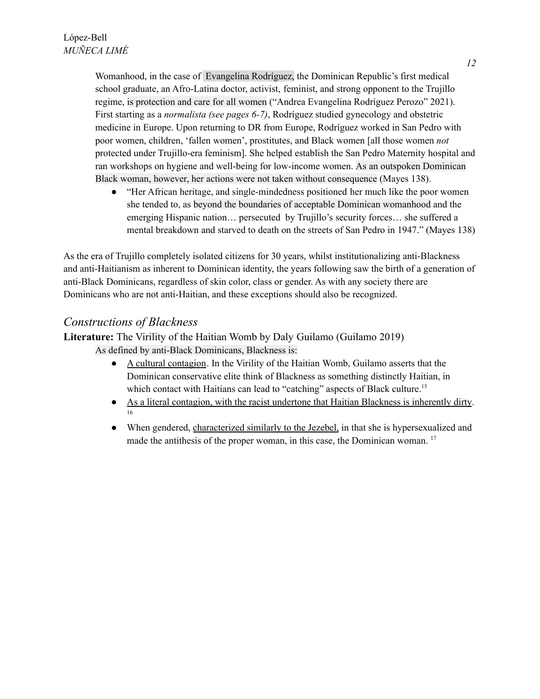Womanhood, in the case of Evangelina Rodríguez, the Dominican Republic's first medical school graduate, an Afro-Latina doctor, activist, feminist, and strong opponent to the Trujillo regime, is protection and care for all women ("Andrea Evangelina Rodríguez Perozo" 2021). First starting as a *normalista (see pages 6-7)*, Rodríguez studied gynecology and obstetric medicine in Europe. Upon returning to DR from Europe, Rodríguez worked in San Pedro with poor women, children, 'fallen women', prostitutes, and Black women [all those women *not* protected under Trujillo-era feminism]. She helped establish the San Pedro Maternity hospital and ran workshops on hygiene and well-being for low-income women. As an outspoken Dominican Black woman, however, her actions were not taken without consequence (Mayes 138).

● "Her African heritage, and single-mindedness positioned her much like the poor women she tended to, as beyond the boundaries of acceptable Dominican womanhood and the emerging Hispanic nation… persecuted by Trujillo's security forces… she suffered a mental breakdown and starved to death on the streets of San Pedro in 1947." (Mayes 138)

As the era of Trujillo completely isolated citizens for 30 years, whilst institutionalizing anti-Blackness and anti-Haitianism as inherent to Dominican identity, the years following saw the birth of a generation of anti-Black Dominicans, regardless of skin color, class or gender. As with any society there are Dominicans who are not anti-Haitian, and these exceptions should also be recognized.

### *Constructions of Blackness*

**Literature:** The Virility of the Haitian Womb by Daly Guilamo (Guilamo 2019)

As defined by anti-Black Dominicans, Blackness is:

- A cultural contagion. In the Virility of the Haitian Womb, Guilamo asserts that the Dominican conservative elite think of Blackness as something distinctly Haitian, in which contact with Haitians can lead to "catching" aspects of Black culture.<sup>15</sup>
- As a literal contagion, with the racist undertone that Haitian Blackness is inherently dirty. 16
- When gendered, characterized similarly to the Jezebel, in that she is hypersexualized and made the antithesis of the proper woman, in this case, the Dominican woman.<sup>17</sup>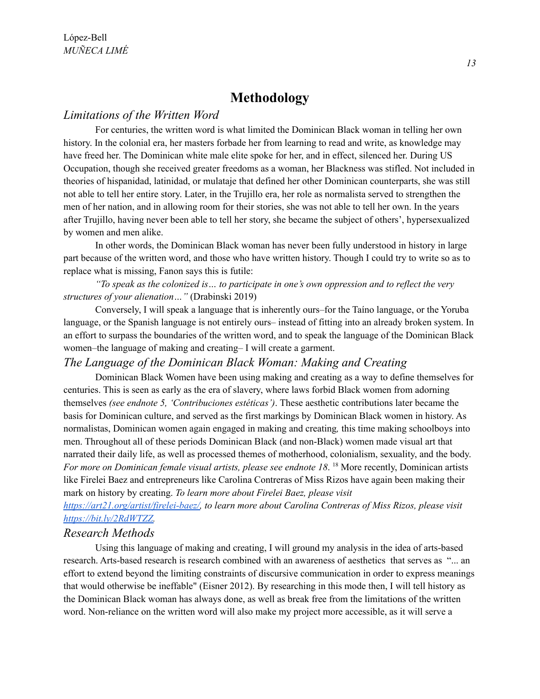### **Methodology**

#### *Limitations of the Written Word*

For centuries, the written word is what limited the Dominican Black woman in telling her own history. In the colonial era, her masters forbade her from learning to read and write, as knowledge may have freed her. The Dominican white male elite spoke for her, and in effect, silenced her. During US Occupation, though she received greater freedoms as a woman, her Blackness was stifled. Not included in theories of hispanidad, latinidad, or mulataje that defined her other Dominican counterparts, she was still not able to tell her entire story. Later, in the Trujillo era, her role as normalista served to strengthen the men of her nation, and in allowing room for their stories, she was not able to tell her own. In the years after Trujillo, having never been able to tell her story, she became the subject of others', hypersexualized by women and men alike.

In other words, the Dominican Black woman has never been fully understood in history in large part because of the written word, and those who have written history. Though I could try to write so as to replace what is missing, Fanon says this is futile:

*"To speak as the colonized is… to participate in one's own oppression and to reflect the very structures of your alienation…"* (Drabinski 2019)

Conversely, I will speak a language that is inherently ours–for the Taíno language, or the Yoruba language, or the Spanish language is not entirely ours– instead of fitting into an already broken system. In an effort to surpass the boundaries of the written word, and to speak the language of the Dominican Black women–the language of making and creating– I will create a garment.

### *The Language of the Dominican Black Woman: Making and Creating*

Dominican Black Women have been using making and creating as a way to define themselves for centuries. This is seen as early as the era of slavery, where laws forbid Black women from adorning themselves *(see endnote 5, 'Contribuciones estéticas')*. These aesthetic contributions later became the basis for Dominican culture, and served as the first markings by Dominican Black women in history. As normalistas, Dominican women again engaged in making and creating*,* this time making schoolboys into men. Throughout all of these periods Dominican Black (and non-Black) women made visual art that narrated their daily life, as well as processed themes of motherhood, colonialism, sexuality, and the body. *For more on Dominican female visual artists, please see endnote 18*. <sup>18</sup> More recently, Dominican artists like Firelei Baez and entrepreneurs like Carolina Contreras of Miss Rizos have again been making their mark on history by creating. *To learn more about Firelei Baez, please visit*

*[https://art21.org/artist/firelei-baez/,](https://art21.org/artist/firelei-baez/) to learn more about Carolina Contreras of Miss Rizos, please visit [https://bit.ly/2RdWTZZ.](https://bit.ly/2RdWTZZ)*

#### *Research Methods*

Using this language of making and creating, I will ground my analysis in the idea of arts-based research. Arts-based research is research combined with an awareness of aesthetics that serves as "... an effort to extend beyond the limiting constraints of discursive communication in order to express meanings that would otherwise be ineffable" (Eisner 2012). By researching in this mode then, I will tell history as the Dominican Black woman has always done, as well as break free from the limitations of the written word. Non-reliance on the written word will also make my project more accessible, as it will serve a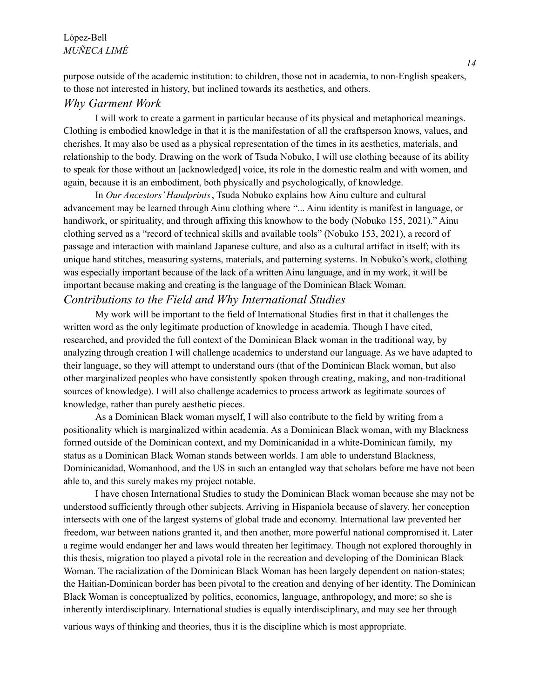#### López-Bell *MUÑECA LIMÉ*

purpose outside of the academic institution: to children, those not in academia, to non-English speakers, to those not interested in history, but inclined towards its aesthetics, and others.

### *Why Garment Work*

I will work to create a garment in particular because of its physical and metaphorical meanings. Clothing is embodied knowledge in that it is the manifestation of all the craftsperson knows, values, and cherishes. It may also be used as a physical representation of the times in its aesthetics, materials, and relationship to the body. Drawing on the work of Tsuda Nobuko, I will use clothing because of its ability to speak for those without an [acknowledged] voice, its role in the domestic realm and with women, and again, because it is an embodiment, both physically and psychologically, of knowledge.

In *Our Ancestors'Handprints*, Tsuda Nobuko explains how Ainu culture and cultural advancement may be learned through Ainu clothing where "... Ainu identity is manifest in language, or handiwork, or spirituality, and through affixing this knowhow to the body (Nobuko 155, 2021)." Ainu clothing served as a "record of technical skills and available tools" (Nobuko 153, 2021), a record of passage and interaction with mainland Japanese culture, and also as a cultural artifact in itself; with its unique hand stitches, measuring systems, materials, and patterning systems. In Nobuko's work, clothing was especially important because of the lack of a written Ainu language, and in my work, it will be important because making and creating is the language of the Dominican Black Woman.

### *Contributions to the Field and Why International Studies*

My work will be important to the field of International Studies first in that it challenges the written word as the only legitimate production of knowledge in academia. Though I have cited, researched, and provided the full context of the Dominican Black woman in the traditional way, by analyzing through creation I will challenge academics to understand our language. As we have adapted to their language, so they will attempt to understand ours (that of the Dominican Black woman, but also other marginalized peoples who have consistently spoken through creating, making, and non-traditional sources of knowledge). I will also challenge academics to process artwork as legitimate sources of knowledge, rather than purely aesthetic pieces.

As a Dominican Black woman myself, I will also contribute to the field by writing from a positionality which is marginalized within academia. As a Dominican Black woman, with my Blackness formed outside of the Dominican context, and my Dominicanidad in a white-Dominican family, my status as a Dominican Black Woman stands between worlds. I am able to understand Blackness, Dominicanidad, Womanhood, and the US in such an entangled way that scholars before me have not been able to, and this surely makes my project notable.

I have chosen International Studies to study the Dominican Black woman because she may not be understood sufficiently through other subjects. Arriving in Hispaniola because of slavery, her conception intersects with one of the largest systems of global trade and economy. International law prevented her freedom, war between nations granted it, and then another, more powerful national compromised it. Later a regime would endanger her and laws would threaten her legitimacy. Though not explored thoroughly in this thesis, migration too played a pivotal role in the recreation and developing of the Dominican Black Woman. The racialization of the Dominican Black Woman has been largely dependent on nation-states; the Haitian-Dominican border has been pivotal to the creation and denying of her identity. The Dominican Black Woman is conceptualized by politics, economics, language, anthropology, and more; so she is inherently interdisciplinary. International studies is equally interdisciplinary, and may see her through various ways of thinking and theories, thus it is the discipline which is most appropriate.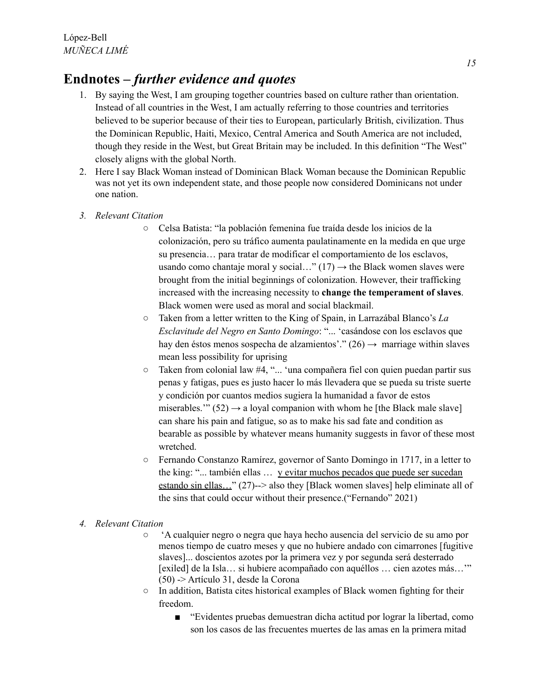## **Endnotes** *– further evidence and quotes*

- 1. By saying the West, I am grouping together countries based on culture rather than orientation. Instead of all countries in the West, I am actually referring to those countries and territories believed to be superior because of their ties to European, particularly British, civilization. Thus the Dominican Republic, Haiti, Mexico, Central America and South America are not included, though they reside in the West, but Great Britain may be included. In this definition "The West" closely aligns with the global North.
- 2. Here I say Black Woman instead of Dominican Black Woman because the Dominican Republic was not yet its own independent state, and those people now considered Dominicans not under one nation.
- *3. Relevant Citation*
	- Celsa Batista: "la población femenina fue traída desde los inicios de la colonización, pero su tráfico aumenta paulatinamente en la medida en que urge su presencia… para tratar de modificar el comportamiento de los esclavos, usando como chantaje moral y social..."  $(17) \rightarrow$  the Black women slaves were brought from the initial beginnings of colonization. However, their trafficking increased with the increasing necessity to **change the temperament of slaves**. Black women were used as moral and social blackmail.
	- Taken from a letter written to the King of Spain, in Larrazábal Blanco's *La Esclavitude del Negro en Santo Domingo*: "... 'casándose con los esclavos que hay den éstos menos sospecha de alzamientos'." (26)  $\rightarrow$  marriage within slaves mean less possibility for uprising
	- Taken from colonial law #4, "... 'una compañera fiel con quien puedan partir sus penas y fatigas, pues es justo hacer lo más llevadera que se pueda su triste suerte y condición por cuantos medios sugiera la humanidad a favor de estos miserables.'"  $(52) \rightarrow a$  loyal companion with whom he [the Black male slave] can share his pain and fatigue, so as to make his sad fate and condition as bearable as possible by whatever means humanity suggests in favor of these most wretched.
	- Fernando Constanzo Ramírez, governor of Santo Domingo in 1717, in a letter to the king: "... también ellas … y evitar muchos pecados que puede ser sucedan estando sin ellas…" (27)--> also they [Black women slaves] help eliminate all of the sins that could occur without their presence.("Fernando" 2021)

#### *4. Relevant Citation*

- 'A cualquier negro o negra que haya hecho ausencia del servicio de su amo por menos tiempo de cuatro meses y que no hubiere andado con cimarrones [fugitive slaves]... doscientos azotes por la primera vez y por segunda será desterrado [exiled] de la Isla… si hubiere acompañado con aquéllos … cien azotes más…'" (50) -> Artículo 31, desde la Corona
- In addition, Batista cites historical examples of Black women fighting for their freedom.
	- "Evidentes pruebas demuestran dicha actitud por lograr la libertad, como son los casos de las frecuentes muertes de las amas en la primera mitad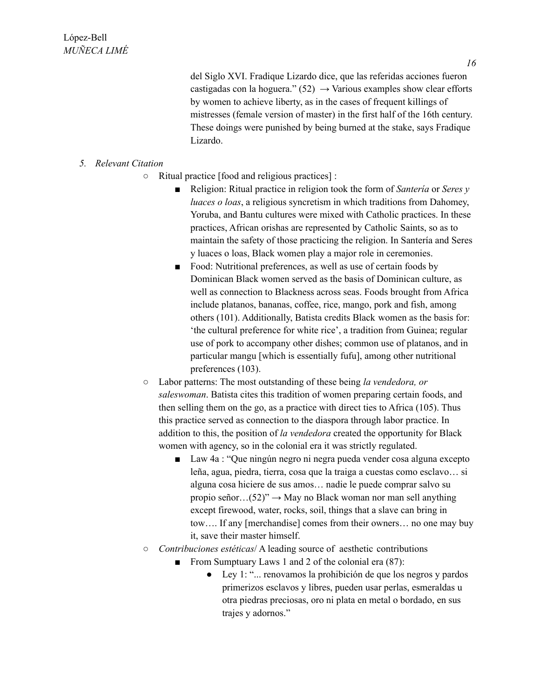del Siglo XVI. Fradique Lizardo dice, que las referidas acciones fueron castigadas con la hoguera."  $(52) \rightarrow$  Various examples show clear efforts by women to achieve liberty, as in the cases of frequent killings of mistresses (female version of master) in the first half of the 16th century. These doings were punished by being burned at the stake, says Fradique Lizardo.

#### *5. Relevant Citation*

- Ritual practice [food and religious practices] :
	- Religion: Ritual practice in religion took the form of *Santeria* or *Seres y luaces o loas*, a religious syncretism in which traditions from Dahomey, Yoruba, and Bantu cultures were mixed with Catholic practices. In these practices, African orishas are represented by Catholic Saints, so as to maintain the safety of those practicing the religion. In Santería and Seres y luaces o loas, Black women play a major role in ceremonies.
	- Food: Nutritional preferences, as well as use of certain foods by Dominican Black women served as the basis of Dominican culture, as well as connection to Blackness across seas. Foods brought from Africa include platanos, bananas, coffee, rice, mango, pork and fish, among others (101). Additionally, Batista credits Black women as the basis for: 'the cultural preference for white rice', a tradition from Guinea; regular use of pork to accompany other dishes; common use of platanos, and in particular mangu [which is essentially fufu], among other nutritional preferences (103).
- Labor patterns: The most outstanding of these being *la vendedora, or saleswoman*. Batista cites this tradition of women preparing certain foods, and then selling them on the go, as a practice with direct ties to Africa (105). Thus this practice served as connection to the diaspora through labor practice. In addition to this, the position of *la vendedora* created the opportunity for Black women with agency, so in the colonial era it was strictly regulated.
	- Law 4a : "Que ningún negro ni negra pueda vender cosa alguna excepto leña, agua, piedra, tierra, cosa que la traiga a cuestas como esclavo… si alguna cosa hiciere de sus amos… nadie le puede comprar salvo su propio señor... $(52)$ <sup>"</sup>  $\rightarrow$  May no Black woman nor man sell anything except firewood, water, rocks, soil, things that a slave can bring in tow…. If any [merchandise] comes from their owners… no one may buy it, save their master himself.
- *Contribuciones estéticas*/ A leading source of aesthetic contributions
	- From Sumptuary Laws 1 and 2 of the colonial era (87):
		- Ley 1: "... renovamos la prohibición de que los negros y pardos primerizos esclavos y libres, pueden usar perlas, esmeraldas u otra piedras preciosas, oro ni plata en metal o bordado, en sus trajes y adornos."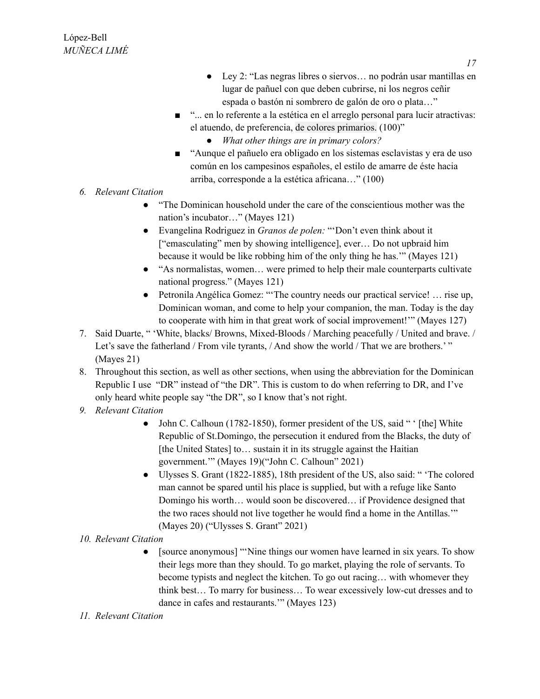- Ley 2: "Las negras libres o siervos… no podrán usar mantillas en lugar de pañuel con que deben cubrirse, ni los negros ceñir espada o bastón ni sombrero de galón de oro o plata…"
- "... en lo referente a la estética en el arreglo personal para lucir atractivas: el atuendo, de preferencia, de colores primarios. (100)"
	- *● What other things are in primary colors?*
- "Aunque el pañuelo era obligado en los sistemas esclavistas y era de uso común en los campesinos españoles, el estilo de amarre de éste hacia arriba, corresponde a la estética africana…" (100)
- *6. Relevant Citation*
	- "The Dominican household under the care of the conscientious mother was the nation's incubator…" (Mayes 121)
	- Evangelina Rodriguez in *Granos de polen:* "'Don't even think about it ["emasculating" men by showing intelligence], ever… Do not upbraid him because it would be like robbing him of the only thing he has.'" (Mayes 121)
	- "As normalistas, women… were primed to help their male counterparts cultivate national progress." (Mayes 121)
	- Petronila Angélica Gomez: "'The country needs our practical service! … rise up, Dominican woman, and come to help your companion, the man. Today is the day to cooperate with him in that great work of social improvement!'" (Mayes 127)
- 7. Said Duarte, " 'White, blacks/ Browns, Mixed-Bloods / Marching peacefully / United and brave. / Let's save the fatherland / From vile tyrants, / And show the world / That we are brothers.'" (Mayes 21)
- 8. Throughout this section, as well as other sections, when using the abbreviation for the Dominican Republic I use "DR" instead of "the DR". This is custom to do when referring to DR, and I've only heard white people say "the DR", so I know that's not right.
- *9. Relevant Citation*
	- John C. Calhoun (1782-1850), former president of the US, said " ' [the] White Republic of St.Domingo, the persecution it endured from the Blacks, the duty of [the United States] to… sustain it in its struggle against the Haitian government.'" (Mayes 19)("John C. Calhoun" 2021)
	- Ulysses S. Grant (1822-1885), 18th president of the US, also said: " 'The colored man cannot be spared until his place is supplied, but with a refuge like Santo Domingo his worth… would soon be discovered… if Providence designed that the two races should not live together he would find a home in the Antillas.'" (Mayes 20) ("Ulysses S. Grant" 2021)
- *10. Relevant Citation*
	- [source anonymous] "Nine things our women have learned in six years. To show their legs more than they should. To go market, playing the role of servants. To become typists and neglect the kitchen. To go out racing… with whomever they think best… To marry for business… To wear excessively low-cut dresses and to dance in cafes and restaurants.'" (Mayes 123)
- *11. Relevant Citation*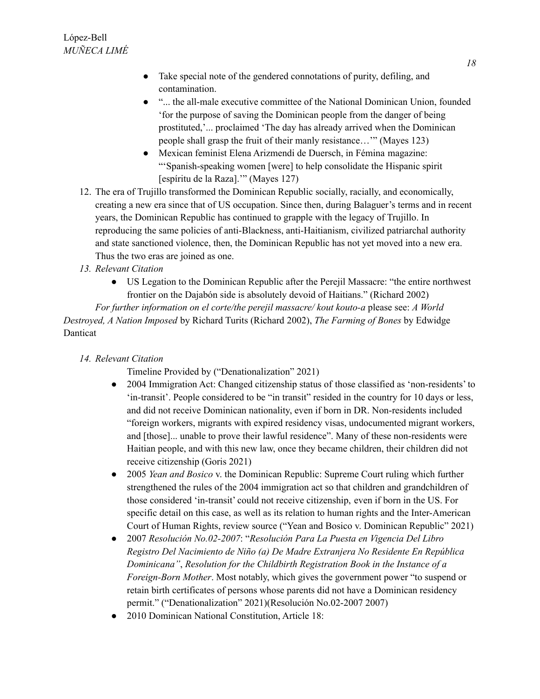- Take special note of the gendered connotations of purity, defiling, and contamination.
- "... the all-male executive committee of the National Dominican Union, founded 'for the purpose of saving the Dominican people from the danger of being prostituted,'... proclaimed 'The day has already arrived when the Dominican people shall grasp the fruit of their manly resistance…'" (Mayes 123)
- Mexican feminist Elena Arizmendi de Duersch, in Fémina magazine: "'Spanish-speaking women [were] to help consolidate the Hispanic spirit [espíritu de la Raza].'" (Mayes 127)
- 12. The era of Trujillo transformed the Dominican Republic socially, racially, and economically, creating a new era since that of US occupation. Since then, during Balaguer's terms and in recent years, the Dominican Republic has continued to grapple with the legacy of Trujillo. In reproducing the same policies of anti-Blackness, anti-Haitianism, civilized patriarchal authority and state sanctioned violence, then, the Dominican Republic has not yet moved into a new era. Thus the two eras are joined as one.
- *13. Relevant Citation*
	- US Legation to the Dominican Republic after the Perejil Massacre: "the entire northwest frontier on the Dajabón side is absolutely devoid of Haitians." (Richard 2002)

*For further information on el corte/the perejil massacre/ kout kouto-a* please see: *A World Destroyed, A Nation Imposed* by Richard Turits (Richard 2002), *The Farming of Bones* by Edwidge Danticat

*14. Relevant Citation*

Timeline Provided by ("Denationalization" 2021)

- 2004 Immigration Act: Changed citizenship status of those classified as 'non-residents' to 'in-transit'. People considered to be "in transit" resided in the country for 10 days or less, and did not receive Dominican nationality, even if born in DR. Non-residents included "foreign workers, migrants with expired residency visas, undocumented migrant workers, and [those]... unable to prove their lawful residence". Many of these non-residents were Haitian people, and with this new law, once they became children, their children did not receive citizenship (Goris 2021)
- 2005 *Yean and Bosico* v. the Dominican Republic: Supreme Court ruling which further strengthened the rules of the 2004 immigration act so that children and grandchildren of those considered 'in-transit' could not receive citizenship, even if born in the US. For specific detail on this case, as well as its relation to human rights and the Inter-American Court of Human Rights, review source ("Yean and Bosico v. Dominican Republic" 2021)
- 2007 *Resolución No.02-2007*: "*Resolución Para La Puesta en Vigencia Del Libro Registro Del Nacimiento de Niño (a) De Madre Extranjera No Residente En República Dominicana"*, *Resolution for the Childbirth Registration Book in the Instance of a Foreign-Born Mother*. Most notably, which gives the government power "to suspend or retain birth certificates of persons whose parents did not have a Dominican residency permit." ("Denationalization" 2021)(Resolución No.02-2007 2007)
- 2010 Dominican National Constitution, Article 18: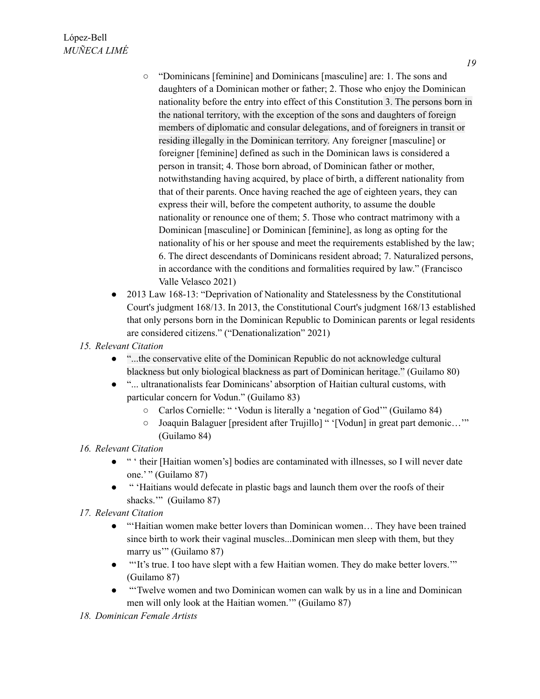- "Dominicans [feminine] and Dominicans [masculine] are: 1. The sons and daughters of a Dominican mother or father; 2. Those who enjoy the Dominican nationality before the entry into effect of this Constitution 3. The persons born in the national territory, with the exception of the sons and daughters of foreign members of diplomatic and consular delegations, and of foreigners in transit or residing illegally in the Dominican territory. Any foreigner [masculine] or foreigner [feminine] defined as such in the Dominican laws is considered a person in transit; 4. Those born abroad, of Dominican father or mother, notwithstanding having acquired, by place of birth, a different nationality from that of their parents. Once having reached the age of eighteen years, they can express their will, before the competent authority, to assume the double nationality or renounce one of them; 5. Those who contract matrimony with a Dominican [masculine] or Dominican [feminine], as long as opting for the nationality of his or her spouse and meet the requirements established by the law; 6. The direct descendants of Dominicans resident abroad; 7. Naturalized persons, in accordance with the conditions and formalities required by law." (Francisco Valle Velasco 2021)
- 2013 Law 168-13: "Deprivation of Nationality and Statelessness by the Constitutional Court's judgment 168/13. In 2013, the Constitutional Court's judgment 168/13 established that only persons born in the Dominican Republic to Dominican parents or legal residents are considered citizens." ("Denationalization" 2021)
- *15. Relevant Citation*
	- "...the conservative elite of the Dominican Republic do not acknowledge cultural blackness but only biological blackness as part of Dominican heritage." (Guilamo 80)
	- "... ultranationalists fear Dominicans' absorption of Haitian cultural customs, with particular concern for Vodun." (Guilamo 83)
		- Carlos Cornielle: " 'Vodun is literally a 'negation of God'" (Guilamo 84)
		- Joaquin Balaguer [president after Trujillo] " '[Vodun] in great part demonic…'" (Guilamo 84)

### *16. Relevant Citation*

- " ' their [Haitian women's] bodies are contaminated with illnesses, so I will never date one.' " (Guilamo 87)
- " 'Haitians would defecate in plastic bags and launch them over the roofs of their shacks."" (Guilamo 87)
- *17. Relevant Citation*
	- "'Haitian women make better lovers than Dominican women… They have been trained since birth to work their vaginal muscles...Dominican men sleep with them, but they marry us'" (Guilamo 87)
	- "'It's true. I too have slept with a few Haitian women. They do make better lovers.'" (Guilamo 87)
	- "'Twelve women and two Dominican women can walk by us in a line and Dominican men will only look at the Haitian women.'" (Guilamo 87)

#### *18. Dominican Female Artists*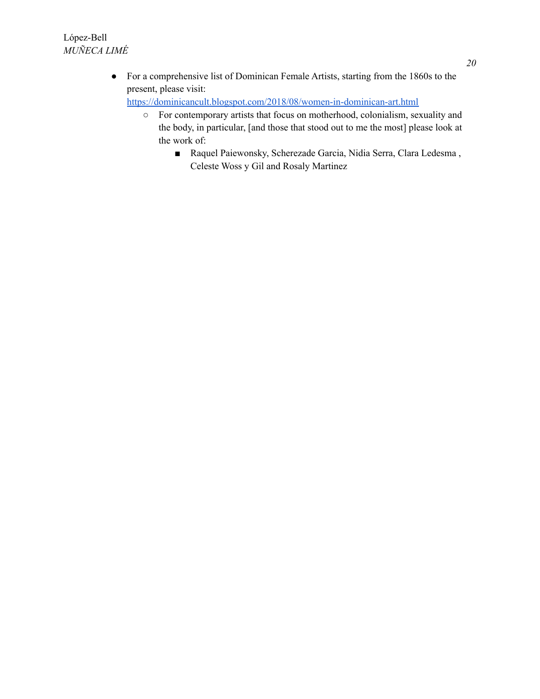● For a comprehensive list of Dominican Female Artists, starting from the 1860s to the present, please visit:

<https://dominicancult.blogspot.com/2018/08/women-in-dominican-art.html>

- For contemporary artists that focus on motherhood, colonialism, sexuality and the body, in particular, [and those that stood out to me the most] please look at the work of:
	- Raquel Paiewonsky, Scherezade Garcia, Nidia Serra, Clara Ledesma, Celeste Woss y Gil and Rosaly Martinez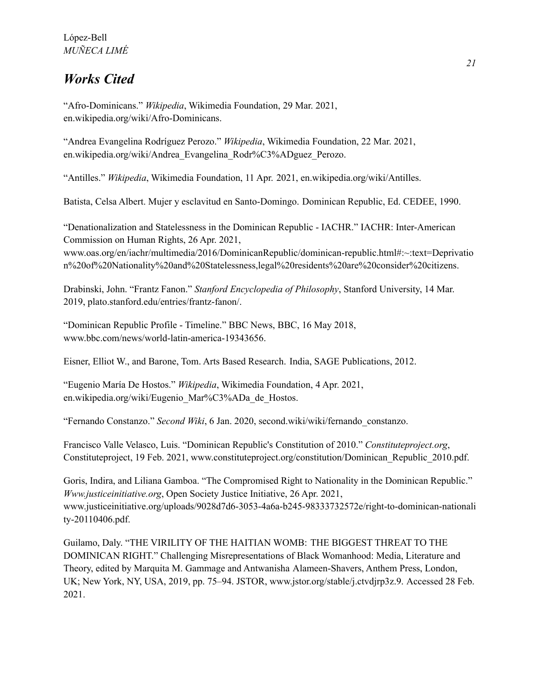## *Works Cited*

"Afro-Dominicans." *Wikipedia*, Wikimedia Foundation, 29 Mar. 2021, en.wikipedia.org/wiki/Afro-Dominicans.

"Andrea Evangelina Rodríguez Perozo." *Wikipedia*, Wikimedia Foundation, 22 Mar. 2021, en.wikipedia.org/wiki/Andrea\_Evangelina\_Rodr%C3%ADguez\_Perozo.

"Antilles." *Wikipedia*, Wikimedia Foundation, 11 Apr. 2021, en.wikipedia.org/wiki/Antilles.

Batista, Celsa Albert. Mujer y esclavitud en Santo-Domingo. Dominican Republic, Ed. CEDEE, 1990.

"Denationalization and Statelessness in the Dominican Republic - IACHR." IACHR: Inter-American Commission on Human Rights, 26 Apr. 2021,

www.oas.org/en/iachr/multimedia/2016/DominicanRepublic/dominican-republic.html#:~:text=Deprivatio n%20of%20Nationality%20and%20Statelessness,legal%20residents%20are%20consider%20citizens.

Drabinski, John. "Frantz Fanon." *Stanford Encyclopedia of Philosophy*, Stanford University, 14 Mar. 2019, plato.stanford.edu/entries/frantz-fanon/.

"Dominican Republic Profile - Timeline." BBC News, BBC, 16 May 2018, www.bbc.com/news/world-latin-america-19343656.

Eisner, Elliot W., and Barone, Tom. Arts Based Research. India, SAGE Publications, 2012.

"Eugenio María De Hostos." *Wikipedia*, Wikimedia Foundation, 4 Apr. 2021, en.wikipedia.org/wiki/Eugenio\_Mar%C3%ADa\_de\_Hostos.

"Fernando Constanzo." *Second Wiki*, 6 Jan. 2020, second.wiki/wiki/fernando\_constanzo.

Francisco Valle Velasco, Luis. "Dominican Republic's Constitution of 2010." *Constituteproject.org*, Constituteproject, 19 Feb. 2021, www.constituteproject.org/constitution/Dominican\_Republic\_2010.pdf.

Goris, Indira, and Liliana Gamboa. "The Compromised Right to Nationality in the Dominican Republic." *Www.justiceinitiative.org*, Open Society Justice Initiative, 26 Apr. 2021, www.justiceinitiative.org/uploads/9028d7d6-3053-4a6a-b245-98333732572e/right-to-dominican-nationali ty-20110406.pdf.

Guilamo, Daly. "THE VIRILITY OF THE HAITIAN WOMB: THE BIGGEST THREAT TO THE DOMINICAN RIGHT." Challenging Misrepresentations of Black Womanhood: Media, Literature and Theory, edited by Marquita M. Gammage and Antwanisha Alameen-Shavers, Anthem Press, London, UK; New York, NY, USA, 2019, pp. 75–94. JSTOR, www.jstor.org/stable/j.ctvdjrp3z.9. Accessed 28 Feb. 2021.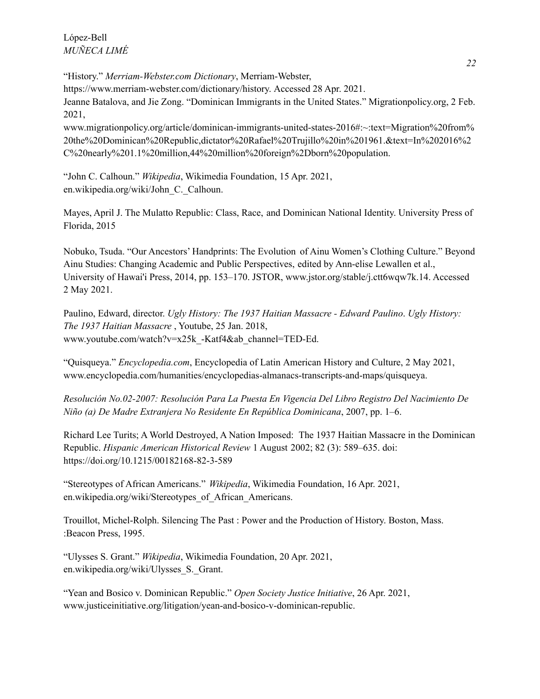López-Bell *MUÑECA LIMÉ*

"History." *Merriam-Webster.com Dictionary*, Merriam-Webster, https://www.merriam-webster.com/dictionary/history. Accessed 28 Apr. 2021. Jeanne Batalova, and Jie Zong. "Dominican Immigrants in the United States." Migrationpolicy.org, 2 Feb. 2021, www.migrationpolicy.org/article/dominican-immigrants-united-states-2016#:~:text=Migration%20from%

20the%20Dominican%20Republic,dictator%20Rafael%20Trujillo%20in%201961.&text=In%202016%2 C%20nearly%201.1%20million,44%20million%20foreign%2Dborn%20population.

"John C. Calhoun." *Wikipedia*, Wikimedia Foundation, 15 Apr. 2021, en.wikipedia.org/wiki/John\_C.\_Calhoun.

Mayes, April J. The Mulatto Republic: Class, Race, and Dominican National Identity. University Press of Florida, 2015

Nobuko, Tsuda. "Our Ancestors' Handprints: The Evolution of Ainu Women's Clothing Culture." Beyond Ainu Studies: Changing Academic and Public Perspectives, edited by Ann-elise Lewallen et al., University of Hawai'i Press, 2014, pp. 153–170. JSTOR, www.jstor.org/stable/j.ctt6wqw7k.14. Accessed 2 May 2021.

Paulino, Edward, director. *Ugly History: The 1937 Haitian Massacre - Edward Paulino*. *Ugly History: The 1937 Haitian Massacre* , Youtube, 25 Jan. 2018, www.youtube.com/watch?v=x25k\_-Katf4&ab\_channel=TED-Ed.

"Quisqueya." *Encyclopedia.com*, Encyclopedia of Latin American History and Culture, 2 May 2021, www.encyclopedia.com/humanities/encyclopedias-almanacs-transcripts-and-maps/quisqueya.

*Resolución No.02-2007: Resolución Para La Puesta En Vigencia Del Libro Registro Del Nacimiento De Niño (a) De Madre Extranjera No Residente En República Dominicana*, 2007, pp. 1–6.

Richard Lee Turits; A World Destroyed, A Nation Imposed: The 1937 Haitian Massacre in the Dominican Republic. *Hispanic American Historical Review* 1 August 2002; 82 (3): 589–635. doi: <https://doi.org/10.1215/00182168-82-3-589>

"Stereotypes of African Americans." *Wikipedia*, Wikimedia Foundation, 16 Apr. 2021, en.wikipedia.org/wiki/Stereotypes\_of\_African\_Americans.

Trouillot, Michel-Rolph. Silencing The Past : Power and the Production of History. Boston, Mass. :Beacon Press, 1995.

"Ulysses S. Grant." *Wikipedia*, Wikimedia Foundation, 20 Apr. 2021, en.wikipedia.org/wiki/Ulysses\_S.\_Grant.

"Yean and Bosico v. Dominican Republic." *Open Society Justice Initiative*, 26 Apr. 2021, www.justiceinitiative.org/litigation/yean-and-bosico-v-dominican-republic.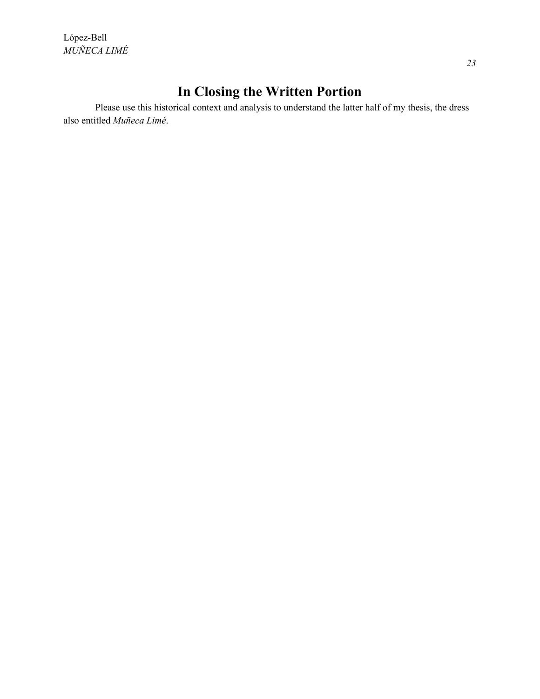López-Bell *MUÑECA LIMÉ*

# **In Closing the Written Portion**

Please use this historical context and analysis to understand the latter half of my thesis, the dress also entitled *Muñeca Limé*.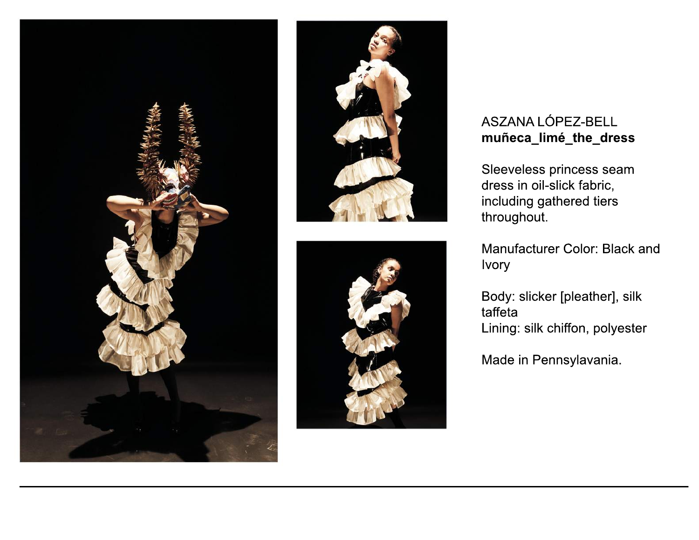





## ASZANALÓPEZ-BELL **muñeca\_limé\_the\_dress**

Sleeveless princess seam dress in oil-slick fabric, including gathered tiers throughout.

Manufacturer Color: Black and Ivory

Body: slicker [pleather], silk taffeta Lining: silk chiffon, polyester

Made in Pennsylavania.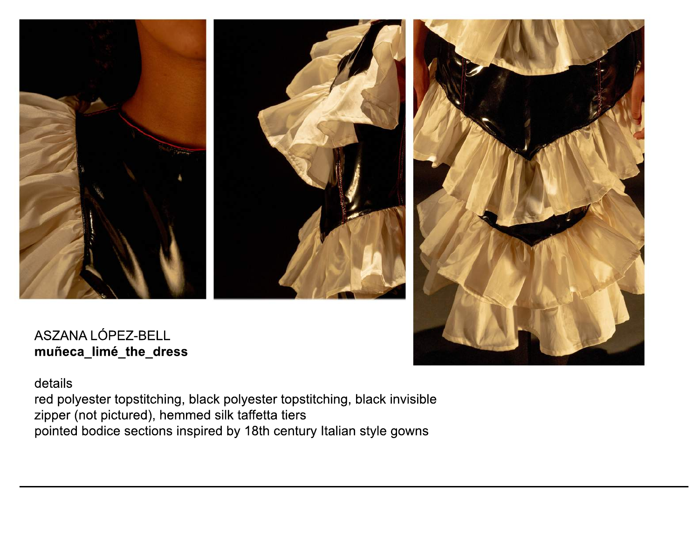





ASZANALÓPEZ-BELL **muñeca\_limé\_the\_dress**

details

red polyester topstitching, black polyester topstitching, black invisible zipper (not pictured), hemmed silk taffetta tiers pointed bodice sections inspired by 18th century Italian style gowns